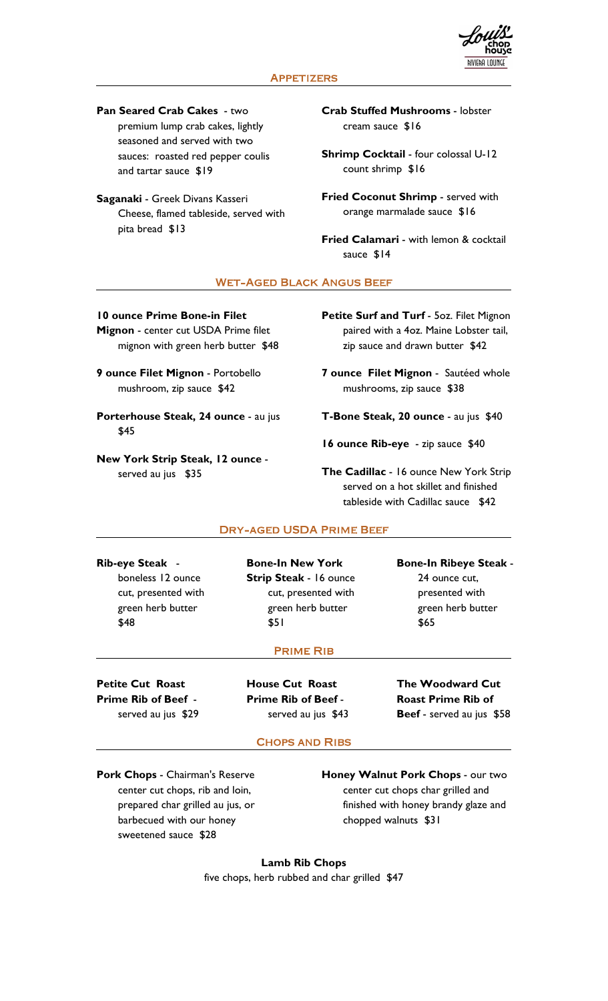

Pan Seared Crab Cakes - two premium lump crab cakes, lightly seasoned and served with two sauces: roasted red pepper coulis and tartar sauce \$19

Saganaki - Greek Divans Kasseri Cheese, flamed tableside, served with pita bread \$13

Crab Stuffed Mushrooms - lobster cream sauce \$16

Shrimp Cocktail - four colossal U-12 count shrimp \$16

Fried Coconut Shrimp - served with orange marmalade sauce \$16

Fried Calamari - with lemon & cocktail sauce \$14

## **WET-AGED BLACK ANGUS BEEF**

10 ounce Prime Bone-in Filet Mignon - center cut USDA Prime filet

mignon with green herb butter \$48

9 ounce Filet Mignon - Portobello mushroom, zip sauce \$42

Porterhouse Steak, 24 ounce - au jus  $$45$ 

New York Strip Steak, 12 ounce - served au jus \$35 Served au jus \$35 Served au jus \$35 Served au jus and Strip

Petite Surf and Turf - 5oz. Filet Mignon paired with a 4oz. Maine Lobster tail, zip sauce and drawn butter \$42

7 ounce Filet Mignon - Sautéed whole mushrooms, zip sauce \$38

T-Bone Steak, 20 ounce - au jus \$40

16 ounce Rib-eye - zip sauce \$40

served on a hot skillet and finished tableside with Cadillac sauce \$42

### **DRY-AGED USDA PRIME BEEF**

Rib-eye Steak - boneless 12 ounce Strip Steak - 16 ounce green herb butter \$48 \$51

cut, presented with cut, presented with Bone-In New York Bone-In Ribeye Steak - 24 ounce cut, green herb butter

\$65 presented with green herb butter  $$65$ 

### **PRIME RIB**

Petite Cut Roast **Prime Rib of Beef - Prime Rib of Beef -**<br>served au jus \$29 **served au jus \$43** 

House Cut Roast

Prime Rib of Beef - served au jus \$43 Beef - served au jus \$58 The Woodward Cut Roast Prime Rib of

# **CHOPS AND RIBS**

Pork Chops - Chairman's Reserve center cut chops, rib and loin, prepared char grilled au jus, or barbecued with our honey sweetened sauce \$28

Honey Walnut Pork Chops - our two center cut chops char grilled and finished with honey brandy glaze and chopped walnuts \$31

Lamb Rib Chops five chops, herb rubbed and char grilled \$47